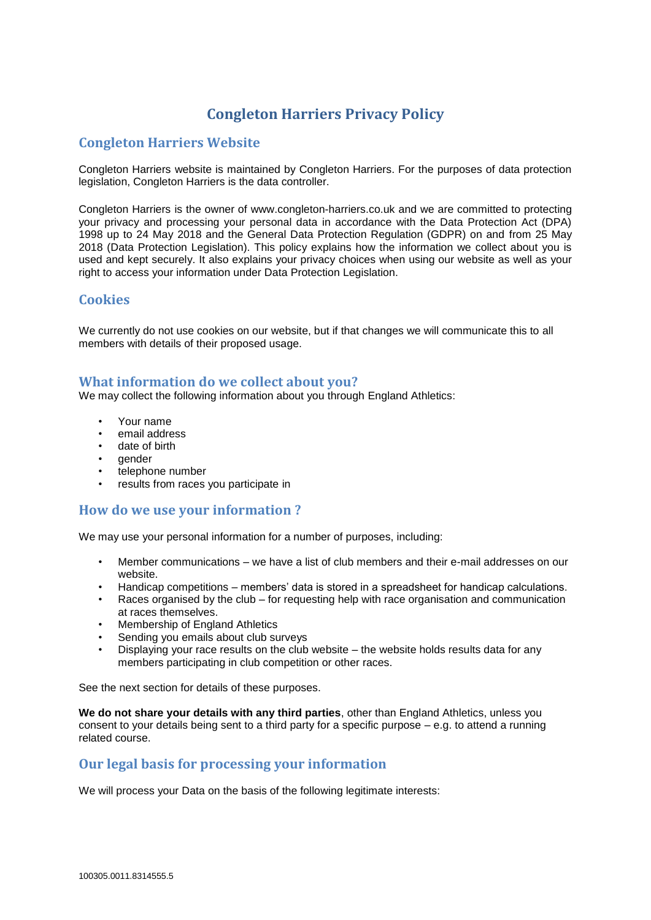# **Congleton Harriers Privacy Policy**

# **Congleton Harriers Website**

Congleton Harriers website is maintained by Congleton Harriers. For the purposes of data protection legislation, Congleton Harriers is the data controller.

Congleton Harriers is the owner of www.congleton-harriers.co.uk and we are committed to protecting your privacy and processing your personal data in accordance with the Data Protection Act (DPA) 1998 up to 24 May 2018 and the General Data Protection Regulation (GDPR) on and from 25 May 2018 (Data Protection Legislation). This policy explains how the information we collect about you is used and kept securely. It also explains your privacy choices when using our website as well as your right to access your information under Data Protection Legislation.

# **Cookies**

We currently do not use cookies on our website, but if that changes we will communicate this to all members with details of their proposed usage.

### **What information do we collect about you?**

We may collect the following information about you through England Athletics:

- Your name
- email address
- date of birth
- gender
- telephone number
- results from races you participate in

### **How do we use your information ?**

We may use your personal information for a number of purposes, including:

- Member communications we have a list of club members and their e-mail addresses on our website.
- Handicap competitions members' data is stored in a spreadsheet for handicap calculations.
- Races organised by the club for requesting help with race organisation and communication at races themselves.
- Membership of England Athletics
- Sending you emails about club surveys
- Displaying your race results on the club website the website holds results data for any members participating in club competition or other races.

See the next section for details of these purposes.

**We do not share your details with any third parties**, other than England Athletics, unless you consent to your details being sent to a third party for a specific purpose – e.g. to attend a running related course.

### **Our legal basis for processing your information**

We will process your Data on the basis of the following legitimate interests: